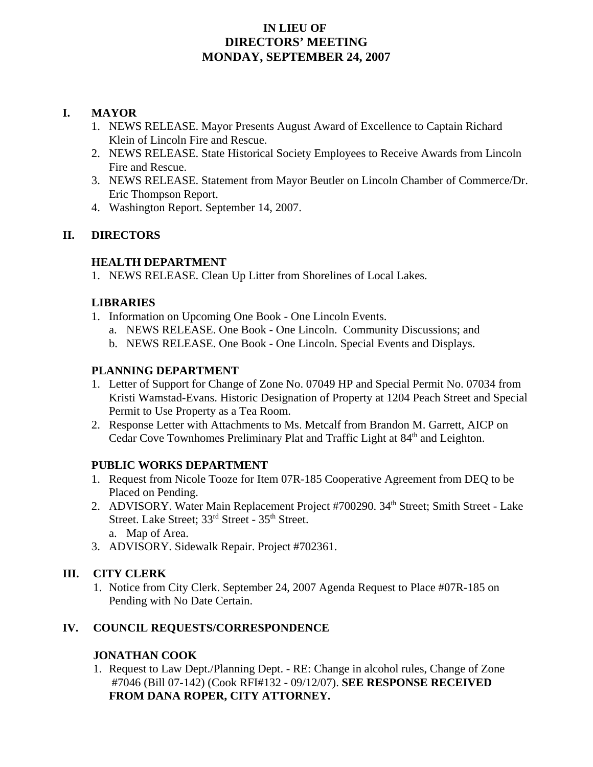#### **IN LIEU OF DIRECTORS' MEETING MONDAY, SEPTEMBER 24, 2007**

#### **I. MAYOR**

- 1. NEWS RELEASE. Mayor Presents August Award of Excellence to Captain Richard Klein of Lincoln Fire and Rescue.
- 2. NEWS RELEASE. State Historical Society Employees to Receive Awards from Lincoln Fire and Rescue.
- 3. NEWS RELEASE. Statement from Mayor Beutler on Lincoln Chamber of Commerce/Dr. Eric Thompson Report.
- 4. Washington Report. September 14, 2007.

# **II. DIRECTORS**

#### **HEALTH DEPARTMENT**

1. NEWS RELEASE. Clean Up Litter from Shorelines of Local Lakes.

# **LIBRARIES**

- 1. Information on Upcoming One Book One Lincoln Events.
	- a. NEWS RELEASE. One Book One Lincoln. Community Discussions; and
	- b. NEWS RELEASE. One Book One Lincoln. Special Events and Displays.

#### **PLANNING DEPARTMENT**

- 1. Letter of Support for Change of Zone No. 07049 HP and Special Permit No. 07034 from Kristi Wamstad-Evans. Historic Designation of Property at 1204 Peach Street and Special Permit to Use Property as a Tea Room.
- 2. Response Letter with Attachments to Ms. Metcalf from Brandon M. Garrett, AICP on Cedar Cove Townhomes Preliminary Plat and Traffic Light at 84<sup>th</sup> and Leighton.

# **PUBLIC WORKS DEPARTMENT**

- 1. Request from Nicole Tooze for Item 07R-185 Cooperative Agreement from DEQ to be Placed on Pending.
- 2. ADVISORY. Water Main Replacement Project #700290. 34<sup>th</sup> Street; Smith Street Lake Street. Lake Street; 33<sup>rd</sup> Street - 35<sup>th</sup> Street. a. Map of Area.
- 3. ADVISORY. Sidewalk Repair. Project #702361.

# **III. CITY CLERK**

1. Notice from City Clerk. September 24, 2007 Agenda Request to Place #07R-185 on Pending with No Date Certain.

# **IV. COUNCIL REQUESTS/CORRESPONDENCE**

# **JONATHAN COOK**

1. Request to Law Dept./Planning Dept. - RE: Change in alcohol rules, Change of Zone #7046 (Bill 07-142) (Cook RFI#132 - 09/12/07). **SEE RESPONSE RECEIVED FROM DANA ROPER, CITY ATTORNEY.**